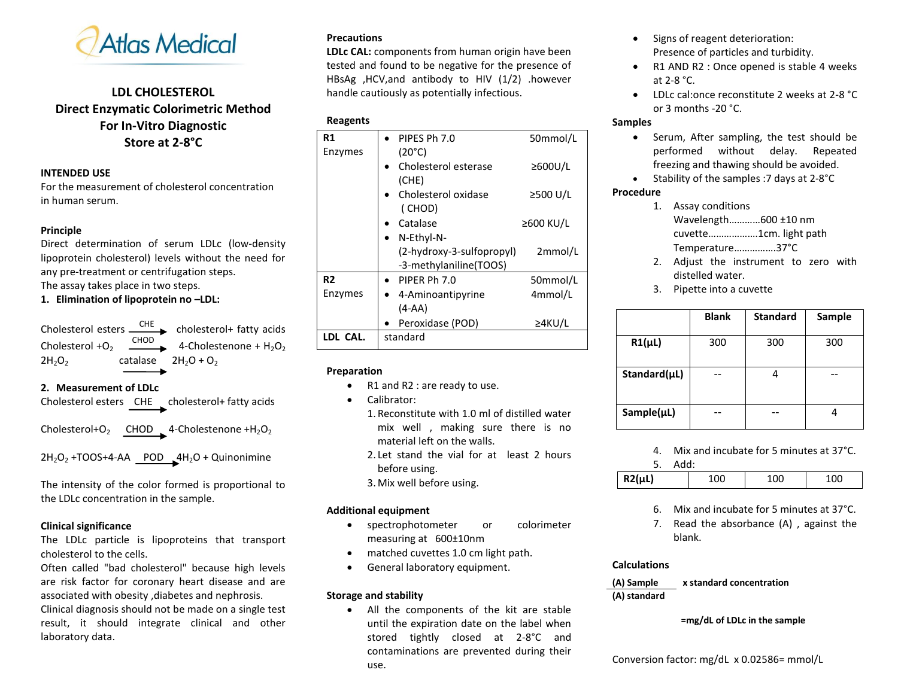

# **LDL CHOLESTEROL Direct Enzymatic Colorimetric Method For In-Vitro Diagnostic Store at 2-8°C**

#### **INTENDED USE**

For the measurement of cholesterol concentration in human serum.

#### **Principle**

Direct determination of serum LDLc (low-density lipoprotein cholesterol) levels without the need for any pre-treatment or centrifugation steps. The assay takes place in two steps.

### **1. Elimination of lipoprotein no –LDL:**

Cholesterol esters  $\xrightarrow{\text{CHE}}$  cholesterol+ fatty acids Cholesterol  $+O<sub>2</sub>$  $\overline{\phantom{0}}$  4-Cholestenone + H<sub>2</sub>O<sub>2</sub>  $2H_2O_2$  catalase  $2H_2O + O_2$ 

**2. Measurement of LDLc**

Cholesterol esters CHE cholesterol+ fatty acids

Cholesterol+O<sub>2</sub> CHOD 4-Cholestenone +H<sub>2</sub>O<sub>2</sub>

 $2H_2O_2$  +TOOS+4-AA POD  $4H_2O$  + Quinonimine

The intensity of the color formed is proportional to the LDLc concentration in the sample.

# **Clinical significance**

laboratory data.

The LDLc particle is lipoproteins that transport cholesterol to the cells.

Often called "bad cholesterol" because high levels are risk factor for coronary heart disease and are associated with obesity ,diabetes and nephrosis. Clinical diagnosis should not be made on a single test result, it should integrate clinical and other

**Precautions**

**LDLc CAL:** components from human origin have been tested and found to be negative for the presence of HBsAg ,HCV,and antibody to HIV (1/2) .however handle cautiously as potentially infectious.

# **Reagents**

| R1             | PIPES Ph 7.0                                        | 50mmol/L      |
|----------------|-----------------------------------------------------|---------------|
| Enzymes        | $(20^{\circ}C)$<br>Cholesterol esterase<br>(CHE)    | $\geq$ 600U/L |
|                | Cholesterol oxidase<br>(CHOD)                       | ≥500 U/L      |
|                | Catalase                                            | ≥600 KU/L     |
|                | N-Ethyl-N-                                          |               |
|                | (2-hydroxy-3-sulfopropyl)<br>-3-methylaniline(TOOS) | 2mmol/L       |
| R <sub>2</sub> | PIPFR Ph 7.0                                        | 50mmol/L      |
| Enzymes        | 4-Aminoantipyrine                                   | 4mmol/L       |
|                | $(A-AA)$                                            |               |
|                | Peroxidase (POD)                                    | $\geq$ 4KU/L  |
| LDL CAL.       | standard                                            |               |

#### **Preparation**

- R1 and R2 : are ready to use.
- Calibrator:
	- 1. Reconstitute with 1.0 ml of distilled water mix well , making sure there is no material left on the walls.
	- 2. Let stand the vial for at least 2 hours before using.
	- 3. Mix well before using.

# **Additional equipment**

- spectrophotometer or colorimeter measuring at 600±10nm
- matched cuvettes 1.0 cm light path.
- **•** General laboratory equipment.

#### **Storage and stability**

 All the components of the kit are stable until the expiration date on the label when stored tightly closed at 2-8°C and contaminations are prevented during their use.

- Signs of reagent deterioration: Presence of particles and turbidity.
- R1 AND R2 : Once opened is stable 4 weeks at 2-8 °C.
- LDLc cal:once reconstitute 2 weeks at 2-8 °C or 3 months -20 °C.

# **Samples**

- Serum, After sampling, the test should be performed without delay. Repeated freezing and thawing should be avoided.
- Stability of the samples :7 days at 2-8°C

#### **Procedure**

- 1. Assay conditions Wavelength…………600 ±10 nm cuvette……………….1cm. light path Temperature…………….37°C
- 2. Adjust the instrument to zero with distelled water.
- 3. Pipette into a cuvette

|                 | <b>Blank</b> | <b>Standard</b> | Sample |
|-----------------|--------------|-----------------|--------|
| $R1(\mu L)$     | 300          | 300             | 300    |
| Standard(µL)    |              |                 |        |
| $Sample(\mu L)$ |              |                 |        |

4. Mix and incubate for 5 minutes at 37°C. 5. Add:

| <u>.</u><br>, www |  |  |
|-------------------|--|--|
| .                 |  |  |

- 6. Mix and incubate for 5 minutes at 37°C.
- 7. Read the absorbance (A) , against the blank.

# **Calculations**

**(A) Sample x standard concentration (A) standard**

# **=mg/dL of LDLc in the sample**